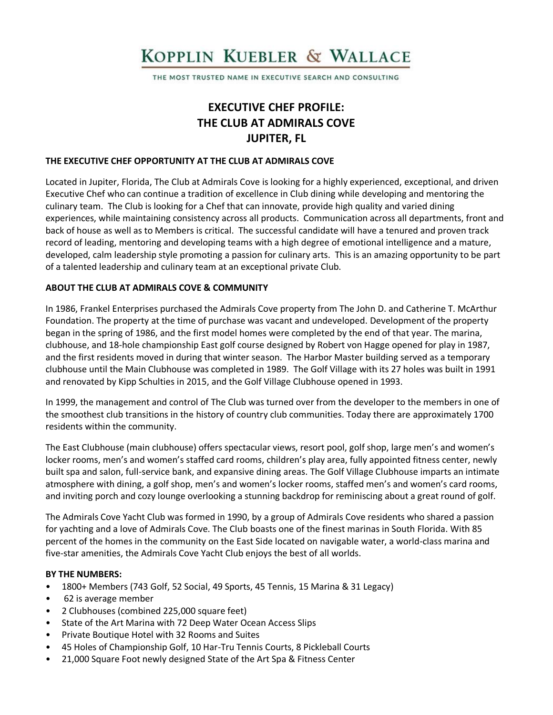# KOPPLIN KUEBLER & WALLACE

THE MOST TRUSTED NAME IN EXECUTIVE SEARCH AND CONSULTING

# **EXECUTIVE CHEF PROFILE: THE CLUB AT ADMIRALS COVE JUPITER, FL**

#### **THE EXECUTIVE CHEF OPPORTUNITY AT THE CLUB AT ADMIRALS COVE**

Located in Jupiter, Florida, The Club at Admirals Cove is looking for a highly experienced, exceptional, and driven Executive Chef who can continue a tradition of excellence in Club dining while developing and mentoring the culinary team. The Club is looking for a Chef that can innovate, provide high quality and varied dining experiences, while maintaining consistency across all products. Communication across all departments, front and back of house as well as to Members is critical. The successful candidate will have a tenured and proven track record of leading, mentoring and developing teams with a high degree of emotional intelligence and a mature, developed, calm leadership style promoting a passion for culinary arts. This is an amazing opportunity to be part of a talented leadership and culinary team at an exceptional private Club.

#### **ABOUT THE CLUB AT ADMIRALS COVE & COMMUNITY**

In 1986, Frankel Enterprises purchased the Admirals Cove property from The John D. and Catherine T. McArthur Foundation. The property at the time of purchase was vacant and undeveloped. Development of the property began in the spring of 1986, and the first model homes were completed by the end of that year. The marina, clubhouse, and 18-hole championship East golf course designed by Robert von Hagge opened for play in 1987, and the first residents moved in during that winter season. The Harbor Master building served as a temporary clubhouse until the Main Clubhouse was completed in 1989. The Golf Village with its 27 holes was built in 1991 and renovated by Kipp Schulties in 2015, and the Golf Village Clubhouse opened in 1993.

In 1999, the management and control of The Club was turned over from the developer to the members in one of the smoothest club transitions in the history of country club communities. Today there are approximately 1700 residents within the community.

The East Clubhouse (main clubhouse) offers spectacular views, resort pool, golf shop, large men's and women's locker rooms, men's and women's staffed card rooms, children's play area, fully appointed fitness center, newly built spa and salon, full-service bank, and expansive dining areas. The Golf Village Clubhouse imparts an intimate atmosphere with dining, a golf shop, men's and women's locker rooms, staffed men's and women's card rooms, and inviting porch and cozy lounge overlooking a stunning backdrop for reminiscing about a great round of golf.

The Admirals Cove Yacht Club was formed in 1990, by a group of Admirals Cove residents who shared a passion for yachting and a love of Admirals Cove. The Club boasts one of the finest marinas in South Florida. With 85 percent of the homes in the community on the East Side located on navigable water, a world-class marina and five-star amenities, the Admirals Cove Yacht Club enjoys the best of all worlds.

#### **BY THE NUMBERS:**

- 1800+ Members (743 Golf, 52 Social, 49 Sports, 45 Tennis, 15 Marina & 31 Legacy)
- 62 is average member
- 2 Clubhouses (combined 225,000 square feet)
- State of the Art Marina with 72 Deep Water Ocean Access Slips
- Private Boutique Hotel with 32 Rooms and Suites
- 45 Holes of Championship Golf, 10 Har-Tru Tennis Courts, 8 Pickleball Courts
- 21,000 Square Foot newly designed State of the Art Spa & Fitness Center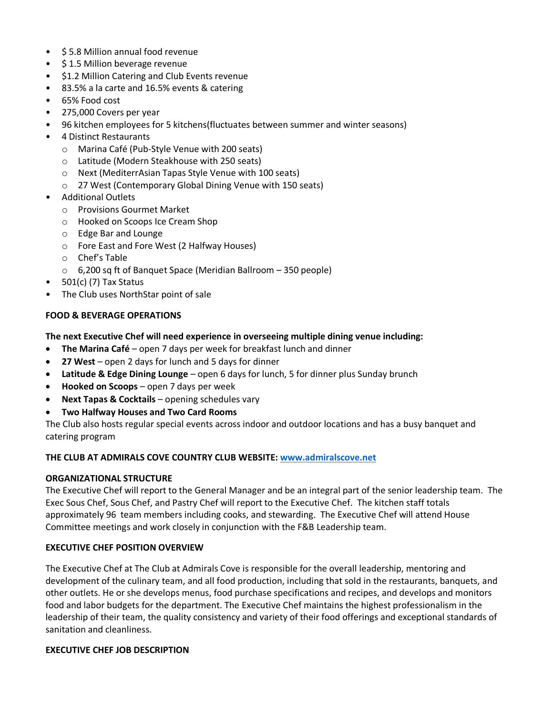- \$ 5.8 Million annual food revenue
- \$ 1.5 Million beverage revenue
- \$1.2 Million Catering and Club Events revenue
- 83.5% a la carte and 16.5% events & catering
- 65% Food cost
- 275,000 Covers per year
- 96 kitchen employees for 5 kitchens(fluctuates between summer and winter seasons)
- 4 Distinct Restaurants
	- o Marina Café (Pub-Style Venue with 200 seats)
	- o Latitude (Modern Steakhouse with 250 seats)
	- o Next (MediterrAsian Tapas Style Venue with 100 seats)
	- o 27 West (Contemporary Global Dining Venue with 150 seats)
- Additional Outlets
	- o Provisions Gourmet Market
	- o Hooked on Scoops Ice Cream Shop
	- o Edge Bar and Lounge
	- o Fore East and Fore West (2 Halfway Houses)
	- o Chef's Table
	- o 6,200 sq ft of Banquet Space (Meridian Ballroom 350 people)
- 501(c) (7) Tax Status
- The Club uses NorthStar point of sale

#### **FOOD & BEVERAGE OPERATIONS**

#### **The next Executive Chef will need experience in overseeing multiple dining venue including:**

- **The Marina Café**  open 7 days per week for breakfast lunch and dinner
- **27 West**  open 2 days for lunch and 5 days for dinner
- **Latitude & Edge Dining Lounge**  open 6 days for lunch, 5 for dinner plus Sunday brunch
- **Hooked on Scoops**  open 7 days per week
- **Next Tapas & Cocktails**  opening schedules vary
- **Two Halfway Houses and Two Card Rooms**

The Club also hosts regular special events across indoor and outdoor locations and has a busy banquet and catering program

#### **THE CLUB AT ADMIRALS COVE COUNTRY CLUB WEBSITE: [www.a](http://www.rpycc.og/)dmiralscove.net**

#### **ORGANIZATIONAL STRUCTURE**

The Executive Chef will report to the General Manager and be an integral part of the senior leadership team. The Exec Sous Chef, Sous Chef, and Pastry Chef will report to the Executive Chef. The kitchen staff totals approximately 96 team members including cooks, and stewarding. The Executive Chef will attend House Committee meetings and work closely in conjunction with the F&B Leadership team.

#### **EXECUTIVE CHEF POSITION OVERVIEW**

The Executive Chef at The Club at Admirals Cove is responsible for the overall leadership, mentoring and development of the culinary team, and all food production, including that sold in the restaurants, banquets, and other outlets. He or she develops menus, food purchase specifications and recipes, and develops and monitors food and labor budgets for the department. The Executive Chef maintains the highest professionalism in the leadership of their team, the quality consistency and variety of their food offerings and exceptional standards of sanitation and cleanliness.

#### **EXECUTIVE CHEF JOB DESCRIPTION**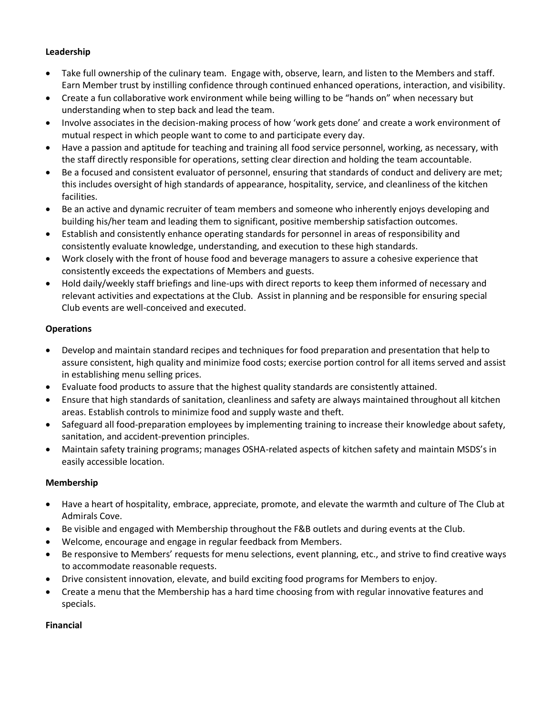#### **Leadership**

- Take full ownership of the culinary team. Engage with, observe, learn, and listen to the Members and staff. Earn Member trust by instilling confidence through continued enhanced operations, interaction, and visibility.
- Create a fun collaborative work environment while being willing to be "hands on" when necessary but understanding when to step back and lead the team.
- Involve associates in the decision-making process of how 'work gets done' and create a work environment of mutual respect in which people want to come to and participate every day.
- Have a passion and aptitude for teaching and training all food service personnel, working, as necessary, with the staff directly responsible for operations, setting clear direction and holding the team accountable.
- Be a focused and consistent evaluator of personnel, ensuring that standards of conduct and delivery are met; this includes oversight of high standards of appearance, hospitality, service, and cleanliness of the kitchen facilities.
- Be an active and dynamic recruiter of team members and someone who inherently enjoys developing and building his/her team and leading them to significant, positive membership satisfaction outcomes.
- Establish and consistently enhance operating standards for personnel in areas of responsibility and consistently evaluate knowledge, understanding, and execution to these high standards.
- Work closely with the front of house food and beverage managers to assure a cohesive experience that consistently exceeds the expectations of Members and guests.
- Hold daily/weekly staff briefings and line-ups with direct reports to keep them informed of necessary and relevant activities and expectations at the Club. Assist in planning and be responsible for ensuring special Club events are well-conceived and executed.

# **Operations**

- Develop and maintain standard recipes and techniques for food preparation and presentation that help to assure consistent, high quality and minimize food costs; exercise portion control for all items served and assist in establishing menu selling prices.
- Evaluate food products to assure that the highest quality standards are consistently attained.
- Ensure that high standards of sanitation, cleanliness and safety are always maintained throughout all kitchen areas. Establish controls to minimize food and supply waste and theft.
- Safeguard all food-preparation employees by implementing training to increase their knowledge about safety, sanitation, and accident-prevention principles.
- Maintain safety training programs; manages OSHA-related aspects of kitchen safety and maintain MSDS's in easily accessible location.

# **Membership**

- Have a heart of hospitality, embrace, appreciate, promote, and elevate the warmth and culture of The Club at Admirals Cove.
- Be visible and engaged with Membership throughout the F&B outlets and during events at the Club.
- Welcome, encourage and engage in regular feedback from Members.
- Be responsive to Members' requests for menu selections, event planning, etc., and strive to find creative ways to accommodate reasonable requests.
- Drive consistent innovation, elevate, and build exciting food programs for Members to enjoy.
- Create a menu that the Membership has a hard time choosing from with regular innovative features and specials.

#### **Financial**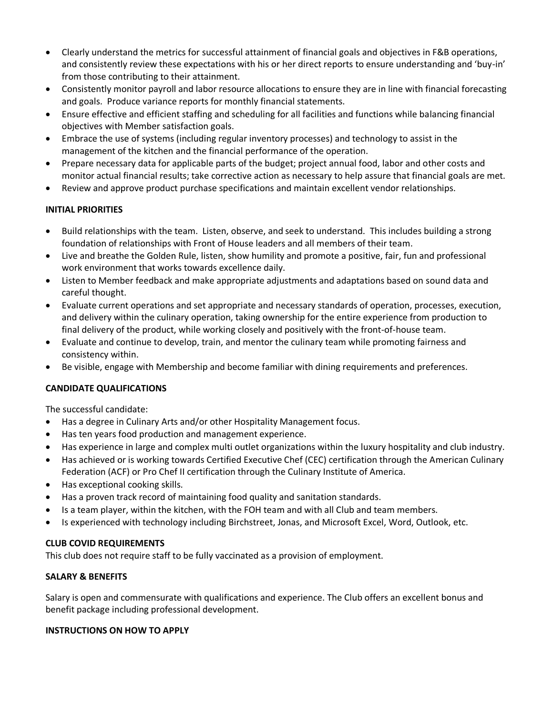- Clearly understand the metrics for successful attainment of financial goals and objectives in F&B operations, and consistently review these expectations with his or her direct reports to ensure understanding and 'buy-in' from those contributing to their attainment.
- Consistently monitor payroll and labor resource allocations to ensure they are in line with financial forecasting and goals. Produce variance reports for monthly financial statements.
- Ensure effective and efficient staffing and scheduling for all facilities and functions while balancing financial objectives with Member satisfaction goals.
- Embrace the use of systems (including regular inventory processes) and technology to assist in the management of the kitchen and the financial performance of the operation.
- Prepare necessary data for applicable parts of the budget; project annual food, labor and other costs and monitor actual financial results; take corrective action as necessary to help assure that financial goals are met.
- Review and approve product purchase specifications and maintain excellent vendor relationships.

# **INITIAL PRIORITIES**

- Build relationships with the team. Listen, observe, and seek to understand. This includes building a strong foundation of relationships with Front of House leaders and all members of their team.
- Live and breathe the Golden Rule, listen, show humility and promote a positive, fair, fun and professional work environment that works towards excellence daily.
- Listen to Member feedback and make appropriate adjustments and adaptations based on sound data and careful thought.
- Evaluate current operations and set appropriate and necessary standards of operation, processes, execution, and delivery within the culinary operation, taking ownership for the entire experience from production to final delivery of the product, while working closely and positively with the front-of-house team.
- Evaluate and continue to develop, train, and mentor the culinary team while promoting fairness and consistency within.
- Be visible, engage with Membership and become familiar with dining requirements and preferences.

# **CANDIDATE QUALIFICATIONS**

The successful candidate:

- Has a degree in Culinary Arts and/or other Hospitality Management focus.
- Has ten years food production and management experience.
- Has experience in large and complex multi outlet organizations within the luxury hospitality and club industry.
- Has achieved or is working towards Certified Executive Chef (CEC) certification through the American Culinary Federation (ACF) or Pro Chef II certification through the Culinary Institute of America.
- Has exceptional cooking skills.
- Has a proven track record of maintaining food quality and sanitation standards.
- Is a team player, within the kitchen, with the FOH team and with all Club and team members.
- Is experienced with technology including Birchstreet, Jonas, and Microsoft Excel, Word, Outlook, etc.

# **CLUB COVID REQUIREMENTS**

This club does not require staff to be fully vaccinated as a provision of employment.

# **SALARY & BENEFITS**

Salary is open and commensurate with qualifications and experience. The Club offers an excellent bonus and benefit package including professional development.

# **INSTRUCTIONS ON HOW TO APPLY**